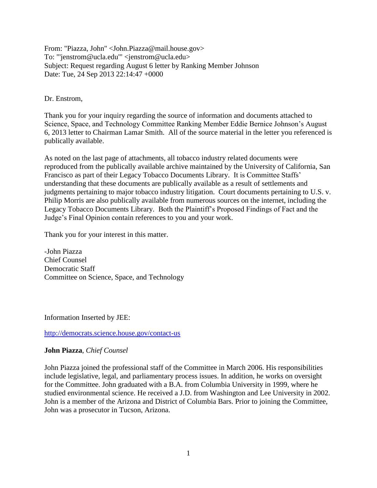From: "Piazza, John" <John.Piazza@mail.house.gov> To: "'jenstrom@ucla.edu'" <jenstrom@ucla.edu> Subject: Request regarding August 6 letter by Ranking Member Johnson Date: Tue, 24 Sep 2013 22:14:47 +0000

Dr. Enstrom,

Thank you for your inquiry regarding the source of information and documents attached to Science, Space, and Technology Committee Ranking Member Eddie Bernice Johnson's August 6, 2013 letter to Chairman Lamar Smith. All of the source material in the letter you referenced is publically available.

As noted on the last page of attachments, all tobacco industry related documents were reproduced from the publically available archive maintained by the University of California, San Francisco as part of their Legacy Tobacco Documents Library. It is Committee Staffs' understanding that these documents are publically available as a result of settlements and judgments pertaining to major tobacco industry litigation. Court documents pertaining to U.S. v. Philip Morris are also publically available from numerous sources on the internet, including the Legacy Tobacco Documents Library. Both the Plaintiff's Proposed Findings of Fact and the Judge's Final Opinion contain references to you and your work.

Thank you for your interest in this matter.

-John Piazza Chief Counsel Democratic Staff Committee on Science, Space, and Technology

Information Inserted by JEE:

<http://democrats.science.house.gov/contact-us>

# **John Piazza**, *Chief Counsel*

John Piazza joined the professional staff of the Committee in March 2006. His responsibilities include legislative, legal, and parliamentary process issues. In addition, he works on oversight for the Committee. John graduated with a B.A. from Columbia University in 1999, where he studied environmental science. He received a J.D. from Washington and Lee University in 2002. John is a member of the Arizona and District of Columbia Bars. Prior to joining the Committee, John was a prosecutor in Tucson, Arizona.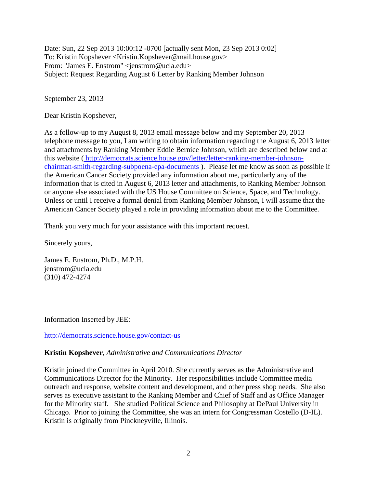Date: Sun, 22 Sep 2013 10:00:12 -0700 [actually sent Mon, 23 Sep 2013 0:02] To: Kristin Kopshever <Kristin.Kopshever@mail.house.gov> From: "James E. Enstrom" <jenstrom@ucla.edu> Subject: Request Regarding August 6 Letter by Ranking Member Johnson

September 23, 2013

Dear Kristin Kopshever,

As a follow-up to my August 8, 2013 email message below and my September 20, 2013 telephone message to you, I am writing to obtain information regarding the August 6, 2013 letter and attachments by Ranking Member Eddie Bernice Johnson, which are described below and at this website ( [http://democrats.science.house.gov/letter/letter-ranking-member-johnson](http://democrats.science.house.gov/letter/letter-ranking-member-johnson-chairman-smith-regarding-subpoena-epa-documents)[chairman-smith-regarding-subpoena-epa-documents](http://democrats.science.house.gov/letter/letter-ranking-member-johnson-chairman-smith-regarding-subpoena-epa-documents) ). Please let me know as soon as possible if the American Cancer Society provided any information about me, particularly any of the information that is cited in August 6, 2013 letter and attachments, to Ranking Member Johnson or anyone else associated with the US House Committee on Science, Space, and Technology. Unless or until I receive a formal denial from Ranking Member Johnson, I will assume that the American Cancer Society played a role in providing information about me to the Committee.

Thank you very much for your assistance with this important request.

Sincerely yours,

James E. Enstrom, Ph.D., M.P.H. jenstrom@ucla.edu (310) 472-4274

Information Inserted by JEE:

<http://democrats.science.house.gov/contact-us>

# **Kristin Kopshever**, *Administrative and Communications Director*

Kristin joined the Committee in April 2010. She currently serves as the Administrative and Communications Director for the Minority. Her responsibilities include Committee media outreach and response, website content and development, and other press shop needs. She also serves as executive assistant to the Ranking Member and Chief of Staff and as Office Manager for the Minority staff. She studied Political Science and Philosophy at DePaul University in Chicago. Prior to joining the Committee, she was an intern for Congressman Costello (D-IL). Kristin is originally from Pinckneyville, Illinois.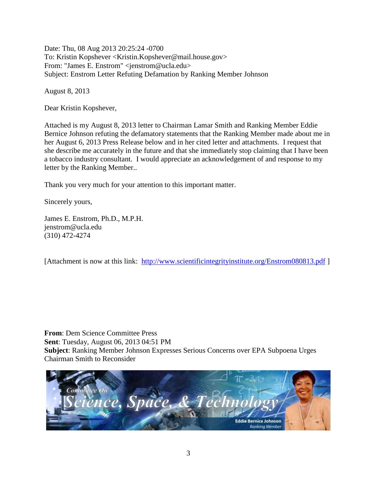Date: Thu, 08 Aug 2013 20:25:24 -0700 To: Kristin Kopshever <Kristin.Kopshever@mail.house.gov> From: "James E. Enstrom" <jenstrom@ucla.edu> Subject: Enstrom Letter Refuting Defamation by Ranking Member Johnson

August 8, 2013

Dear Kristin Kopshever,

Attached is my August 8, 2013 letter to Chairman Lamar Smith and Ranking Member Eddie Bernice Johnson refuting the defamatory statements that the Ranking Member made about me in her August 6, 2013 Press Release below and in her cited letter and attachments. I request that she describe me accurately in the future and that she immediately stop claiming that I have been a tobacco industry consultant. I would appreciate an acknowledgement of and response to my letter by the Ranking Member..

Thank you very much for your attention to this important matter.

Sincerely yours,

James E. Enstrom, Ph.D., M.P.H. jenstrom@ucla.edu (310) 472-4274

[Attachment is now at this link: <http://www.scientificintegrityinstitute.org/Enstrom080813.pdf> ]

**From**: Dem Science Committee Press **Sent**: Tuesday, August 06, 2013 04:51 PM **Subject**: Ranking Member Johnson Expresses Serious Concerns over EPA Subpoena Urges Chairman Smith to Reconsider

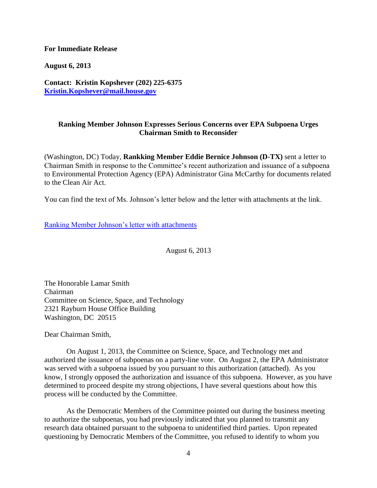## **For Immediate Release**

**August 6, 2013**

**Contact: Kristin Kopshever (202) 225-6375 [Kristin.Kopshever@mail.house.gov](mailto:Kristin.Kopshever@mail.house.gov)**

## **Ranking Member Johnson Expresses Serious Concerns over EPA Subpoena Urges Chairman Smith to Reconsider**

(Washington, DC) Today, **Rankking Member Eddie Bernice Johnson (D-TX)** sent a letter to Chairman Smith in response to the Committee's recent authorization and issuance of a subpoena to Environmental Protection Agency (EPA) Administrator Gina McCarthy for documents related to the Clean Air Act.

You can find the text of Ms. Johnson's letter below and the letter with attachments at the link.

[Ranking Member Johnson's letter with attachments](http://democrats.science.house.gov/letter/letter-ranking-member-johnson-chairman-smith-regarding-subpoena-epa-documents)

August 6, 2013

The Honorable Lamar Smith Chairman Committee on Science, Space, and Technology 2321 Rayburn House Office Building Washington, DC 20515

Dear Chairman Smith,

 On August 1, 2013, the Committee on Science, Space, and Technology met and authorized the issuance of subpoenas on a party-line vote. On August 2, the EPA Administrator was served with a subpoena issued by you pursuant to this authorization (attached). As you know, I strongly opposed the authorization and issuance of this subpoena. However, as you have determined to proceed despite my strong objections, I have several questions about how this process will be conducted by the Committee.

 As the Democratic Members of the Committee pointed out during the business meeting to authorize the subpoenas, you had previously indicated that you planned to transmit any research data obtained pursuant to the subpoena to unidentified third parties. Upon repeated questioning by Democratic Members of the Committee, you refused to identify to whom you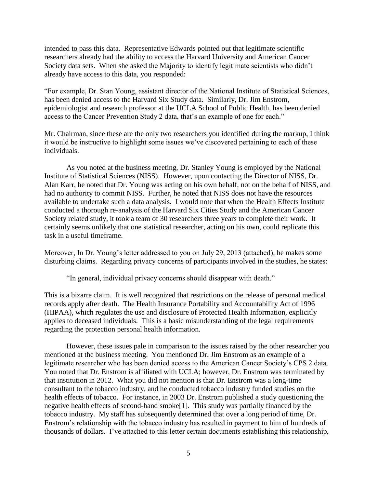intended to pass this data. Representative Edwards pointed out that legitimate scientific researchers already had the ability to access the Harvard University and American Cancer Society data sets. When she asked the Majority to identify legitimate scientists who didn't already have access to this data, you responded:

"For example, Dr. Stan Young, assistant director of the National Institute of Statistical Sciences, has been denied access to the Harvard Six Study data. Similarly, Dr. Jim Enstrom, epidemiologist and research professor at the UCLA School of Public Health, has been denied access to the Cancer Prevention Study 2 data, that's an example of one for each."

Mr. Chairman, since these are the only two researchers you identified during the markup, I think it would be instructive to highlight some issues we've discovered pertaining to each of these individuals.

 As you noted at the business meeting, Dr. Stanley Young is employed by the National Institute of Statistical Sciences (NISS). However, upon contacting the Director of NISS, Dr. Alan Karr, he noted that Dr. Young was acting on his own behalf, not on the behalf of NISS, and had no authority to commit NISS. Further, he noted that NISS does not have the resources available to undertake such a data analysis. I would note that when the Health Effects Institute conducted a thorough re-analysis of the Harvard Six Cities Study and the American Cancer Society related study, it took a team of 30 researchers three years to complete their work. It certainly seems unlikely that one statistical researcher, acting on his own, could replicate this task in a useful timeframe.

Moreover, In Dr. Young's letter addressed to you on July 29, 2013 (attached), he makes some disturbing claims. Regarding privacy concerns of participants involved in the studies, he states:

"In general, individual privacy concerns should disappear with death."

This is a bizarre claim. It is well recognized that restrictions on the release of personal medical records apply after death. The Health Insurance Portability and Accountability Act of 1996 (HIPAA), which regulates the use and disclosure of Protected Health Information, explicitly applies to deceased individuals. This is a basic misunderstanding of the legal requirements regarding the protection personal health information.

 However, these issues pale in comparison to the issues raised by the other researcher you mentioned at the business meeting. You mentioned Dr. Jim Enstrom as an example of a legitimate researcher who has been denied access to the American Cancer Society's CPS 2 data. You noted that Dr. Enstrom is affiliated with UCLA; however, Dr. Enstrom was terminated by that institution in 2012. What you did not mention is that Dr. Enstrom was a long-time consultant to the tobacco industry, and he conducted tobacco industry funded studies on the health effects of tobacco. For instance, in 2003 Dr. Enstrom published a study questioning the negative health effects of second-hand smoke[1]. This study was partially financed by the tobacco industry. My staff has subsequently determined that over a long period of time, Dr. Enstrom's relationship with the tobacco industry has resulted in payment to him of hundreds of thousands of dollars. I've attached to this letter certain documents establishing this relationship,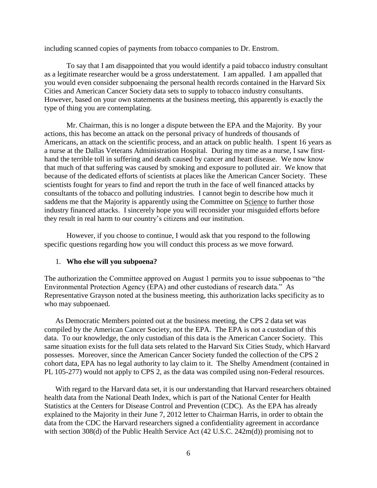including scanned copies of payments from tobacco companies to Dr. Enstrom.

 To say that I am disappointed that you would identify a paid tobacco industry consultant as a legitimate researcher would be a gross understatement. I am appalled. I am appalled that you would even consider subpoenaing the personal health records contained in the Harvard Six Cities and American Cancer Society data sets to supply to tobacco industry consultants. However, based on your own statements at the business meeting, this apparently is exactly the type of thing you are contemplating.

 Mr. Chairman, this is no longer a dispute between the EPA and the Majority. By your actions, this has become an attack on the personal privacy of hundreds of thousands of Americans, an attack on the scientific process, and an attack on public health. I spent 16 years as a nurse at the Dallas Veterans Administration Hospital. During my time as a nurse, I saw firsthand the terrible toll in suffering and death caused by cancer and heart disease. We now know that much of that suffering was caused by smoking and exposure to polluted air. We know that because of the dedicated efforts of scientists at places like the American Cancer Society. These scientists fought for years to find and report the truth in the face of well financed attacks by consultants of the tobacco and polluting industries. I cannot begin to describe how much it saddens me that the Majority is apparently using the Committee on Science to further those industry financed attacks. I sincerely hope you will reconsider your misguided efforts before they result in real harm to our country's citizens and our institution.

 However, if you choose to continue, I would ask that you respond to the following specific questions regarding how you will conduct this process as we move forward.

#### 1. **Who else will you subpoena?**

The authorization the Committee approved on August 1 permits you to issue subpoenas to "the Environmental Protection Agency (EPA) and other custodians of research data." As Representative Grayson noted at the business meeting, this authorization lacks specificity as to who may subpoenaed.

 As Democratic Members pointed out at the business meeting, the CPS 2 data set was compiled by the American Cancer Society, not the EPA. The EPA is not a custodian of this data. To our knowledge, the only custodian of this data is the American Cancer Society. This same situation exists for the full data sets related to the Harvard Six Cities Study, which Harvard possesses. Moreover, since the American Cancer Society funded the collection of the CPS 2 cohort data, EPA has no legal authority to lay claim to it. The Shelby Amendment (contained in PL 105-277) would not apply to CPS 2, as the data was compiled using non-Federal resources.

 With regard to the Harvard data set, it is our understanding that Harvard researchers obtained health data from the National Death Index, which is part of the National Center for Health Statistics at the Centers for Disease Control and Prevention (CDC). As the EPA has already explained to the Majority in their June 7, 2012 letter to Chairman Harris, in order to obtain the data from the CDC the Harvard researchers signed a confidentiality agreement in accordance with section 308(d) of the Public Health Service Act (42 U.S.C. 242m(d)) promising not to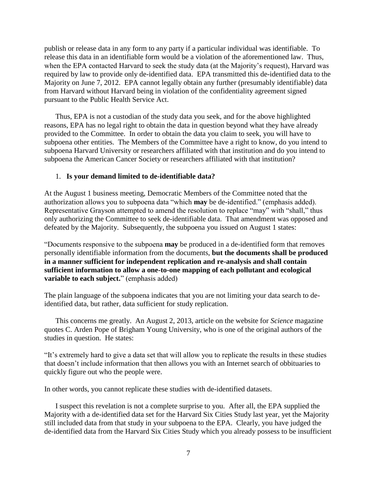publish or release data in any form to any party if a particular individual was identifiable. To release this data in an identifiable form would be a violation of the aforementioned law. Thus, when the EPA contacted Harvard to seek the study data (at the Majority's request), Harvard was required by law to provide only de-identified data. EPA transmitted this de-identified data to the Majority on June 7, 2012. EPA cannot legally obtain any further (presumably identifiable) data from Harvard without Harvard being in violation of the confidentiality agreement signed pursuant to the Public Health Service Act.

 Thus, EPA is not a custodian of the study data you seek, and for the above highlighted reasons, EPA has no legal right to obtain the data in question beyond what they have already provided to the Committee. In order to obtain the data you claim to seek, you will have to subpoena other entities. The Members of the Committee have a right to know, do you intend to subpoena Harvard University or researchers affiliated with that institution and do you intend to subpoena the American Cancer Society or researchers affiliated with that institution?

## 1. **Is your demand limited to de-identifiable data?**

At the August 1 business meeting, Democratic Members of the Committee noted that the authorization allows you to subpoena data "which **may** be de-identified." (emphasis added). Representative Grayson attempted to amend the resolution to replace "may" with "shall," thus only authorizing the Committee to seek de-identifiable data. That amendment was opposed and defeated by the Majority. Subsequently, the subpoena you issued on August 1 states:

"Documents responsive to the subpoena **may** be produced in a de-identified form that removes personally identifiable information from the documents, **but the documents shall be produced in a manner sufficient for independent replication and re-analysis and shall contain sufficient information to allow a one-to-one mapping of each pollutant and ecological variable to each subject.**" (emphasis added)

The plain language of the subpoena indicates that you are not limiting your data search to deidentified data, but rather, data sufficient for study replication.

 This concerns me greatly. An August 2, 2013, article on the website for *Science* magazine quotes C. Arden Pope of Brigham Young University, who is one of the original authors of the studies in question. He states:

"It's extremely hard to give a data set that will allow you to replicate the results in these studies that doesn't include information that then allows you with an Internet search of obbituaries to quickly figure out who the people were.

In other words, you cannot replicate these studies with de-identified datasets.

 I suspect this revelation is not a complete surprise to you. After all, the EPA supplied the Majority with a de-identified data set for the Harvard Six Cities Study last year, yet the Majority still included data from that study in your subpoena to the EPA. Clearly, you have judged the de-identified data from the Harvard Six Cities Study which you already possess to be insufficient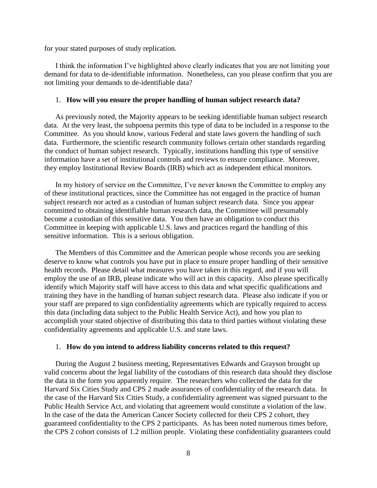for your stated purposes of study replication.

 I think the information I've highlighted above clearly indicates that you are not limiting your demand for data to de-identifiable information. Nonetheless, can you please confirm that you are not limiting your demands to de-identifiable data?

### 1. **How will you ensure the proper handling of human subject research data?**

 As previously noted, the Majority appears to be seeking identifiable human subject research data. At the very least, the subpoena permits this type of data to be included in a response to the Committee. As you should know, various Federal and state laws govern the handling of such data. Furthermore, the scientific research community follows certain other standards regarding the conduct of human subject research. Typically, institutions handling this type of sensitive information have a set of institutional controls and reviews to ensure compliance. Moreover, they employ Institutional Review Boards (IRB) which act as independent ethical monitors.

 In my history of service on the Committee, I've never known the Committee to employ any of these institutional practices, since the Committee has not engaged in the practice of human subject research nor acted as a custodian of human subject research data. Since you appear committed to obtaining identifiable human research data, the Committee will presumably become a custodian of this sensitive data. You then have an obligation to conduct this Committee in keeping with applicable U.S. laws and practices regard the handling of this sensitive information. This is a serious obligation.

 The Members of this Committee and the American people whose records you are seeking deserve to know what controls you have put in place to ensure proper handling of their sensitive health records. Please detail what measures you have taken in this regard, and if you will employ the use of an IRB, please indicate who will act in this capacity. Also please specifically identify which Majority staff will have access to this data and what specific qualifications and training they have in the handling of human subject research data. Please also indicate if you or your staff are prepared to sign confidentiality agreements which are typically required to access this data (including data subject to the Public Health Service Act), and how you plan to accomplish your stated objective of distributing this data to third parties without violating these confidentiality agreements and applicable U.S. and state laws.

### 1. **How do you intend to address liability concerns related to this request?**

 During the August 2 business meeting, Representatives Edwards and Grayson brought up valid concerns about the legal liability of the custodians of this research data should they disclose the data in the form you apparently require. The researchers who collected the data for the Harvard Six Cities Study and CPS 2 made assurances of confidentiality of the research data. In the case of the Harvard Six Cities Study, a confidentiality agreement was signed pursuant to the Public Health Service Act, and violating that agreement would constitute a violation of the law. In the case of the data the American Cancer Society collected for their CPS 2 cohort, they guaranteed confidentiality to the CPS 2 participants. As has been noted numerous times before, the CPS 2 cohort consists of 1.2 million people. Violating these confidentiality guarantees could